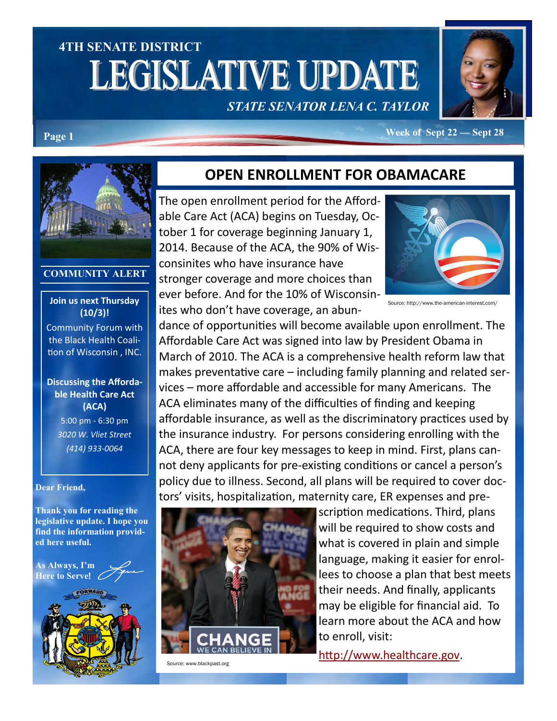# **4TH SENATE DISTRICT LEGISLATIVE UPDATE**

# *STATE SENATOR LENA C. TAYLOR*



**Page 1 Week of Sept 22 — Sept 28** 



#### **COMMUNITY ALERT**

#### **Join us next Thursday (10/3)!**

Community Forum with the Black Health Coalition of Wisconsin , INC.

#### **Discussing the Affordable Health Care Act (ACA)** 5:00 pm - 6:30 pm

*3020 W. Vliet Street (414) 933-0064*

#### **Dear Friend,**

**Thank you for reading the legislative update. I hope you find the information provided here useful.**

**As Always, I'm Here to Serve**!



#### **OPEN ENROLLMENT FOR OBAMACARE**

The open enrollment period for the Affordable Care Act (ACA) begins on Tuesday, October 1 for coverage beginning January 1, 2014. Because of the ACA, the 90% of Wisconsinites who have insurance have stronger coverage and more choices than ever before. And for the 10% of Wisconsinites who don't have coverage, an abun-



Source: http://www.the-american-interest.com/

dance of opportunities will become available upon enrollment. The Affordable Care Act was signed into law by President Obama in March of 2010. The ACA is a comprehensive health reform law that makes preventative care – including family planning and related services – more affordable and accessible for many Americans. The ACA eliminates many of the difficulties of finding and keeping affordable insurance, as well as the discriminatory practices used by the insurance industry. For persons considering enrolling with the ACA, there are four key messages to keep in mind. First, plans cannot deny applicants for pre-existing conditions or cancel a person's policy due to illness. Second, all plans will be required to cover doctors' visits, hospitalization, maternity care, ER expenses and pre-



Source: www.blackpast.org

scription medications. Third, plans will be required to show costs and what is covered in plain and simple language, making it easier for enrollees to choose a plan that best meets their needs. And finally, applicants may be eligible for financial aid. To learn more about the ACA and how to enroll, visit:

[http://www.healthcare.gov.](http://www.healthcare.gov)